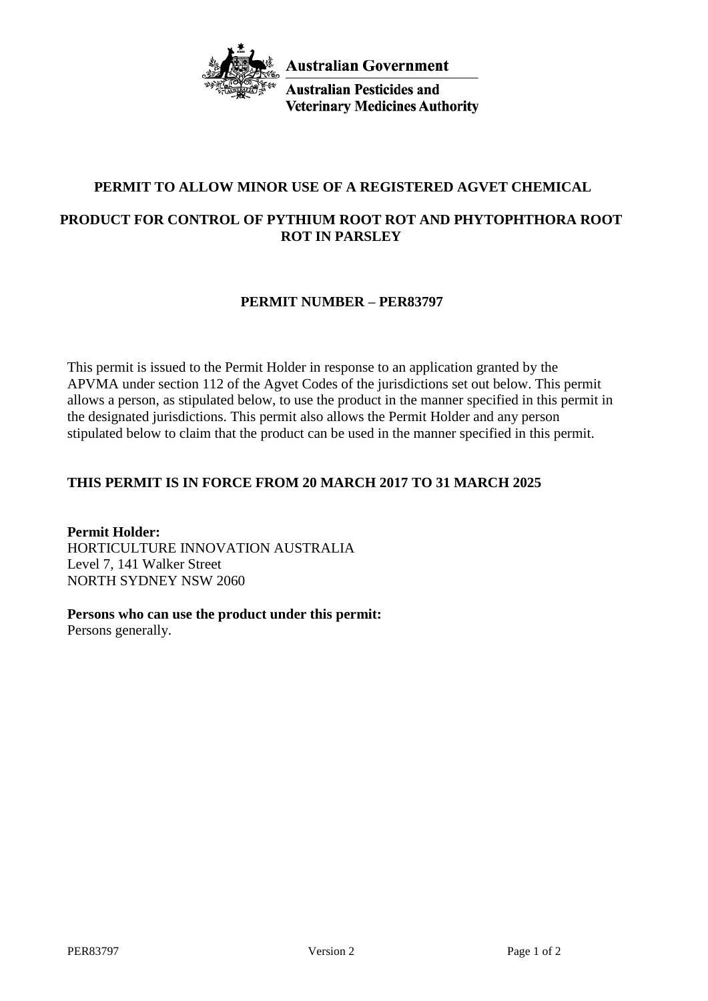

**Australian Pesticides and Veterinary Medicines Authority** 

# **PERMIT TO ALLOW MINOR USE OF A REGISTERED AGVET CHEMICAL**

# **PRODUCT FOR CONTROL OF PYTHIUM ROOT ROT AND PHYTOPHTHORA ROOT ROT IN PARSLEY**

## **PERMIT NUMBER – PER83797**

This permit is issued to the Permit Holder in response to an application granted by the APVMA under section 112 of the Agvet Codes of the jurisdictions set out below. This permit allows a person, as stipulated below, to use the product in the manner specified in this permit in the designated jurisdictions. This permit also allows the Permit Holder and any person stipulated below to claim that the product can be used in the manner specified in this permit.

# **THIS PERMIT IS IN FORCE FROM 20 MARCH 2017 TO 31 MARCH 2025**

**Permit Holder:** HORTICULTURE INNOVATION AUSTRALIA Level 7, 141 Walker Street NORTH SYDNEY NSW 2060

**Persons who can use the product under this permit:** Persons generally.